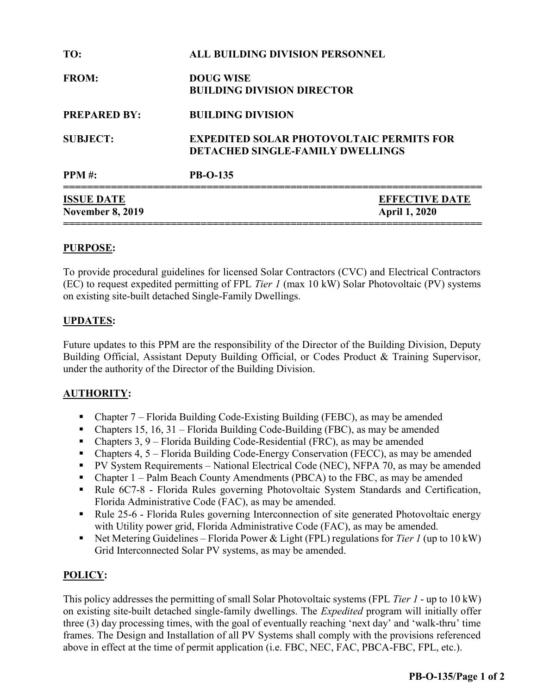| TO:                                          | <b>ALL BUILDING DIVISION PERSONNEL</b>                                                     |
|----------------------------------------------|--------------------------------------------------------------------------------------------|
| <b>FROM:</b>                                 | <b>DOUG WISE</b><br><b>BUILDING DIVISION DIRECTOR</b>                                      |
| <b>PREPARED BY:</b>                          | <b>BUILDING DIVISION</b>                                                                   |
| <b>SUBJECT:</b>                              | <b>EXPEDITED SOLAR PHOTOVOLTAIC PERMITS FOR</b><br><b>DETACHED SINGLE-FAMILY DWELLINGS</b> |
| <b>PPM</b> #:                                | <b>PB-O-135</b>                                                                            |
| <b>ISSUE DATE</b><br><b>November 8, 2019</b> | <b>EFFECTIVE DATE</b><br><b>April 1, 2020</b>                                              |

### PURPOSE:

To provide procedural guidelines for licensed Solar Contractors (CVC) and Electrical Contractors (EC) to request expedited permitting of FPL Tier 1 (max 10 kW) Solar Photovoltaic (PV) systems on existing site-built detached Single-Family Dwellings.

### UPDATES:

Future updates to this PPM are the responsibility of the Director of the Building Division, Deputy Building Official, Assistant Deputy Building Official, or Codes Product & Training Supervisor, under the authority of the Director of the Building Division.

### AUTHORITY:

- Chapter 7 Florida Building Code-Existing Building (FEBC), as may be amended
- Chapters 15, 16, 31 Florida Building Code-Building (FBC), as may be amended
- Chapters 3, 9 Florida Building Code-Residential (FRC), as may be amended
- Chapters 4, 5 Florida Building Code-Energy Conservation (FECC), as may be amended
- PV System Requirements National Electrical Code (NEC), NFPA 70, as may be amended
- Chapter 1 Palm Beach County Amendments (PBCA) to the FBC, as may be amended
- Rule 6C7-8 Florida Rules governing Photovoltaic System Standards and Certification, Florida Administrative Code (FAC), as may be amended.
- Rule 25-6 Florida Rules governing Interconnection of site generated Photovoltaic energy with Utility power grid, Florida Administrative Code (FAC), as may be amended.
- Net Metering Guidelines Florida Power & Light (FPL) regulations for Tier 1 (up to 10 kW) Grid Interconnected Solar PV systems, as may be amended.

### POLICY:

This policy addresses the permitting of small Solar Photovoltaic systems (FPL Tier 1 - up to 10 kW) on existing site-built detached single-family dwellings. The Expedited program will initially offer three (3) day processing times, with the goal of eventually reaching 'next day' and 'walk-thru' time frames. The Design and Installation of all PV Systems shall comply with the provisions referenced above in effect at the time of permit application (i.e. FBC, NEC, FAC, PBCA-FBC, FPL, etc.).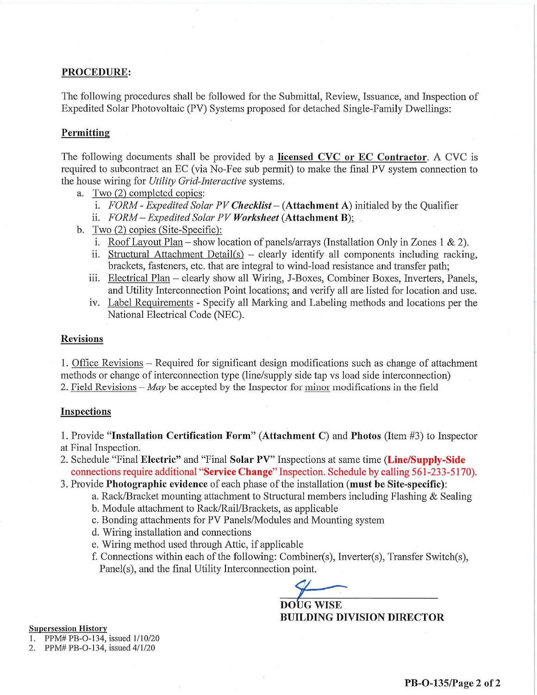### PROCEDURE:

The following procedures shall be followed for the Submittal, Review, Issuance, and Inspection of Expedited Solar Photovoltaic (PV) Systems proposed for detached Single-Family Dwellings:

### Permitting

The following documents shall be provided by a licensed CVC or EC Contractor. A CVC is required to subcontract an EC (via No-Fee sub permit) to make the final PV system connection to the house wiring for *Utility Grid-Interactive* systems.

- a. Two (2) completed copies:
	- i. FORM Expedited Solar PV Checklist  $(Attentionent A)$  initialed by the Qualifier
	- ii. FORM Expedited Solar PV Worksheet (Attachment B);
- b. Two (2) copies (Site-Specific):
	- i. Roof Layout Plan show location of panels/arrays (Installation Only in Zones 1 & 2).
	- ii. Structural Attachment Detail(s) clearly identify all components including racking, brackets, fasteners, etc. that are integral to wind-load resistance and transfer path;
	- iii. Electrical Plan clearly show all Wiring, J-Boxes, Combiner Boxes, Inverters, Panels, and Utility Interconnection Point locations; and verify all are listed for location and use.
	- iv. Label Requirements Specify all Marking and Labeling methods and locations per the National Electrical Code (NEC).

### **Revisions**

1. Office Revisions – Required for significant design modifications such as change of attachment methods or change of interconnection type (line/supply side tap ys load side interconnection) 2. Field Revisions – May be accepted by the Inspector for minor modifications in the field

### **Inspections**

1. Provide "Installation Certification Form" (Attachment C) and Photos (Item #3) to Inspector at Final Inspection.

- 2. Schedule "Final Electric" and "Final Solar PV" Inspections at same time (Line/Supply-Side connections require additional "Service Change" Inspection. Schedule by calling 561-233-5170).
- 3. Provide Photographic evidence of each phase of the installation (must be Site-specific):
	- a. Rack/Bracket mounting attachment to Structural members including Flashing & Sealing
	- b. Module attachment to Rack/Rail/Brackets, as applicable
	- c. Bonding attachments for PV Panels/Modules and Mounting system
	- d. Wiring installation and connections
	- e. Wiring method used through Attic, if applicable
	- f. Connections within each of the following: Combiner(s), Inverter(s), Transfer Switch(s), Panel(s), and the final Utility Interconnection point.

**DOUG WISE BUILDING DIVISION DIRECTOR** 

**Supersession History** 

1. PPM# PB-O-134, issued 1/10/20

2. PPM# PB-O-134, issued 4/1/20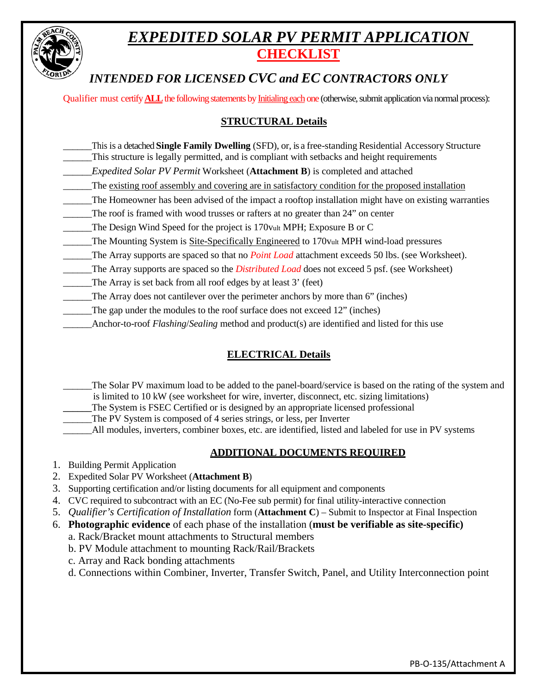

# *EXPEDITED SOLAR PV PERMIT APPLICATION* **CHECKLIST**

# *INTENDED FOR LICENSED CVC and EC CONTRACTORS ONLY*

Qualifier must certify **ALL**the following statements by Initialing each one (otherwise, submit application via normal process):

## **STRUCTURAL Details**

- \_\_\_\_\_\_This is a detached **Single Family Dwelling** (SFD), or, is a free-standing Residential Accessory Structure \_\_\_\_\_\_This structure is legally permitted, and is compliant with setbacks and height requirements
- \_\_\_\_\_\_*Expedited Solar PV Permit* Worksheet (**Attachment B**) is completed and attached
- The existing roof assembly and covering are in satisfactory condition for the proposed installation
- \_\_\_\_\_\_The Homeowner has been advised of the impact a rooftop installation might have on existing warranties
- The roof is framed with wood trusses or rafters at no greater than 24" on center
- \_\_\_\_\_\_The Design Wind Speed for the project is 170vult MPH; Exposure B or C
- \_\_\_\_\_\_The Mounting System is Site-Specifically Engineered to 170vult MPH wind-load pressures
- \_\_\_\_\_\_The Array supports are spaced so that no *Point Load* attachment exceeds 50 lbs. (see Worksheet).
- \_\_\_\_\_\_The Array supports are spaced so the *Distributed Load* does not exceed 5 psf. (see Worksheet)
- The Array is set back from all roof edges by at least 3' (feet)
- The Array does not cantilever over the perimeter anchors by more than 6" (inches)
- The gap under the modules to the roof surface does not exceed 12" (inches)
- \_\_\_\_\_\_Anchor-to-roof *Flashing*/*Sealing* method and product(s) are identified and listed for this use

# **ELECTRICAL Details**

- The Solar PV maximum load to be added to the panel-board/service is based on the rating of the system and is limited to 10 kW (see worksheet for wire, inverter, disconnect, etc. sizing limitations)
- The System is FSEC Certified or is designed by an appropriate licensed professional
- The PV System is composed of 4 series strings, or less, per Inverter
- \_\_\_\_\_\_All modules, inverters, combiner boxes, etc. are identified, listed and labeled for use in PV systems

### **ADDITIONAL DOCUMENTS REQUIRED**

- 1. Building Permit Application
- 2. Expedited Solar PV Worksheet (**Attachment B**)
- 3. Supporting certification and/or listing documents for all equipment and components
- 4. CVC required to subcontract with an EC (No-Fee sub permit) for final utility-interactive connection
- 5. *Qualifier's Certification of Installation* form (**Attachment C**) Submit to Inspector at Final Inspection
- 6. **Photographic evidence** of each phase of the installation (**must be verifiable as site-specific)**
	- a. Rack/Bracket mount attachments to Structural members
	- b. PV Module attachment to mounting Rack/Rail/Brackets
	- c. Array and Rack bonding attachments
	- d. Connections within Combiner, Inverter, Transfer Switch, Panel, and Utility Interconnection point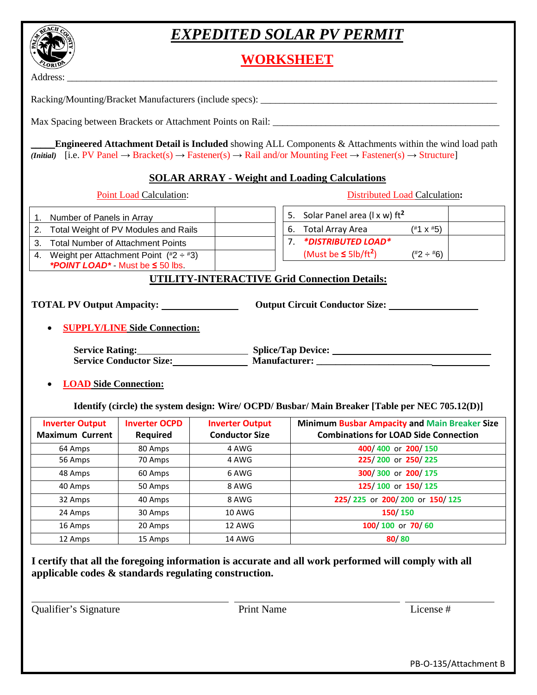# *EXPEDITED SOLAR PV PERMIT*

**WORKSHEET**

Address: \_\_\_\_\_\_\_\_\_\_\_\_\_\_\_\_\_\_\_\_\_\_\_\_\_\_\_\_\_\_\_\_\_\_\_\_\_\_\_\_\_\_\_\_\_\_\_\_\_\_\_\_\_\_\_\_\_\_\_\_\_\_\_\_\_\_\_\_\_\_\_\_\_\_\_\_\_\_\_\_\_\_\_\_\_\_\_\_\_\_

Racking/Mounting/Bracket Manufacturers (include specs): \_\_\_\_\_\_\_\_\_\_\_\_\_\_\_\_\_\_\_\_\_\_\_\_\_\_\_\_\_\_\_\_\_\_\_\_\_\_\_\_\_\_\_\_\_\_\_\_\_

Max Spacing between Brackets or Attachment Points on Rail: \_\_\_\_\_\_\_\_\_\_\_\_\_\_\_\_\_\_\_\_\_\_\_\_\_\_\_\_\_\_\_\_\_\_\_\_\_\_\_\_\_\_\_\_\_\_\_

\_\_\_\_\_**Engineered Attachment Detail is Included** showing ALL Components & Attachments within the wind load path *(Initial)*  $[i.e. PV Panel \rightarrow Bracket( s) \rightarrow Fastener(s) \rightarrow Rainard/or Mounting Feet \rightarrow Fastener(s) \rightarrow Structure$ ]

### **SOLAR ARRAY - Weight and Loading Calculations**

┱

 $\overline{1}$   $\overline{1}$ 

Point Load Calculation: Distributed Load Calculation**:**

| 1. Number of Panels in Array                                            | 5. Solar Panel area ( $l \times w$ ) ft <sup>2</sup>     |
|-------------------------------------------------------------------------|----------------------------------------------------------|
| 2. Total Weight of PV Modules and Rails                                 | $(*1 \times 45)$<br>6. Total Array Area                  |
| 3. Total Number of Attachment Points                                    | 7. *DISTRIBUTED LOAD*                                    |
| 4. Weight per Attachment Point $(^{\#2} \div {\#3})$                    | (Must be $\leq 5$ lb/ft <sup>2</sup> )<br>$(*2 \div *6)$ |
| <b>*POINT LOAD*</b> Must be $\leq$ 50 lbs.                              |                                                          |
|                                                                         | <b>UTILITY-INTERACTIVE Grid Connection Details:</b>      |
| <b>TOTAL PV Output Ampacity:</b><br><b>SUPPLY/LINE Side Connection:</b> | <b>Output Circuit Conductor Size:</b>                    |
| <b>Service Rating:</b>                                                  | <b>Splice/Tap Device:</b>                                |
| <b>Service Conductor Size:</b>                                          |                                                          |
| <b>LOAD Side Connection:</b>                                            |                                                          |

**Identify (circle) the system design: Wire/ OCPD/ Busbar/ Main Breaker [Table per NEC 705.12(D)]** 

| <b>Inverter Output</b><br><b>Maximum Current</b> | <b>Inverter OCPD</b><br><b>Required</b> | <b>Inverter Output</b><br><b>Conductor Size</b> | <b>Minimum Busbar Ampacity and Main Breaker Size</b><br><b>Combinations for LOAD Side Connection</b> |
|--------------------------------------------------|-----------------------------------------|-------------------------------------------------|------------------------------------------------------------------------------------------------------|
| 64 Amps                                          | 80 Amps                                 | 4 AWG                                           | 400/400 or 200/150                                                                                   |
| 56 Amps                                          | 70 Amps                                 | 4 AWG                                           | 225/200 or 250/225                                                                                   |
| 48 Amps                                          | 60 Amps                                 | 6 AWG                                           | 300/300 or 200/175                                                                                   |
| 40 Amps                                          | 50 Amps                                 | 8 AWG                                           | 125/100 or 150/125                                                                                   |
| 32 Amps                                          | 40 Amps                                 | 8 AWG                                           | 225/225 or 200/200 or 150/125                                                                        |
| 24 Amps                                          | 30 Amps                                 | <b>10 AWG</b>                                   | 150/150                                                                                              |
| 16 Amps                                          | 20 Amps                                 | <b>12 AWG</b>                                   | 100/100 or 70/60                                                                                     |
| 12 Amps                                          | 15 Amps                                 | <b>14 AWG</b>                                   | 80/80                                                                                                |

**I certify that all the foregoing information is accurate and all work performed will comply with all applicable codes & standards regulating construction.** 

Qualifier's Signature Print Name License #

PB-O-135/Attachment B